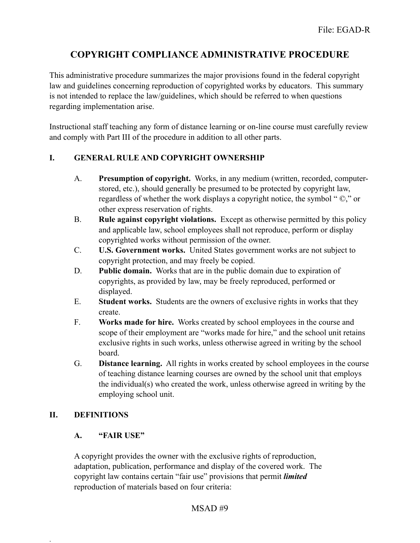# **COPYRIGHT COMPLIANCE ADMINISTRATIVE PROCEDURE**

This administrative procedure summarizes the major provisions found in the federal copyright law and guidelines concerning reproduction of copyrighted works by educators. This summary is not intended to replace the law/guidelines, which should be referred to when questions regarding implementation arise.

Instructional staff teaching any form of distance learning or on-line course must carefully review and comply with Part III of the procedure in addition to all other parts.

## **I. GENERAL RULE AND COPYRIGHT OWNERSHIP**

- A. **Presumption of copyright.** Works, in any medium (written, recorded, computerstored, etc.), should generally be presumed to be protected by copyright law, regardless of whether the work displays a copyright notice, the symbol " ©," or other express reservation of rights.
- B. **Rule against copyright violations.** Except as otherwise permitted by this policy and applicable law, school employees shall not reproduce, perform or display copyrighted works without permission of the owner.
- C. **U.S. Government works.** United States government works are not subject to copyright protection, and may freely be copied.
- D. **Public domain.** Works that are in the public domain due to expiration of copyrights, as provided by law, may be freely reproduced, performed or displayed.
- E. **Student works.** Students are the owners of exclusive rights in works that they create.
- F. **Works made for hire.** Works created by school employees in the course and scope of their employment are "works made for hire," and the school unit retains exclusive rights in such works, unless otherwise agreed in writing by the school board.
- G. **Distance learning.** All rights in works created by school employees in the course of teaching distance learning courses are owned by the school unit that employs the individual(s) who created the work, unless otherwise agreed in writing by the employing school unit.

#### **II. DEFINITIONS**

.

#### **A. "FAIR USE"**

A copyright provides the owner with the exclusive rights of reproduction, adaptation, publication, performance and display of the covered work. The copyright law contains certain "fair use" provisions that permit *limited* reproduction of materials based on four criteria: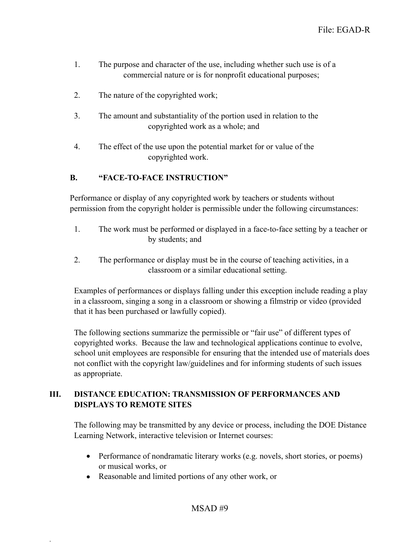- 1. The purpose and character of the use, including whether such use is of a commercial nature or is for nonprofit educational purposes;
- 2. The nature of the copyrighted work;
- 3. The amount and substantiality of the portion used in relation to the copyrighted work as a whole; and
- 4. The effect of the use upon the potential market for or value of the copyrighted work.

#### **B. "FACE-TO-FACE INSTRUCTION"**

Performance or display of any copyrighted work by teachers or students without permission from the copyright holder is permissible under the following circumstances:

- 1. The work must be performed or displayed in a face-to-face setting by a teacher or by students; and
- 2. The performance or display must be in the course of teaching activities, in a classroom or a similar educational setting.

Examples of performances or displays falling under this exception include reading a play in a classroom, singing a song in a classroom or showing a filmstrip or video (provided that it has been purchased or lawfully copied).

The following sections summarize the permissible or "fair use" of different types of copyrighted works. Because the law and technological applications continue to evolve, school unit employees are responsible for ensuring that the intended use of materials does not conflict with the copyright law/guidelines and for informing students of such issues as appropriate.

## **III. DISTANCE EDUCATION: TRANSMISSION OF PERFORMANCES AND DISPLAYS TO REMOTE SITES**

The following may be transmitted by any device or process, including the DOE Distance Learning Network, interactive television or Internet courses:

- Performance of nondramatic literary works (e.g. novels, short stories, or poems) or musical works, or
- Reasonable and limited portions of any other work, or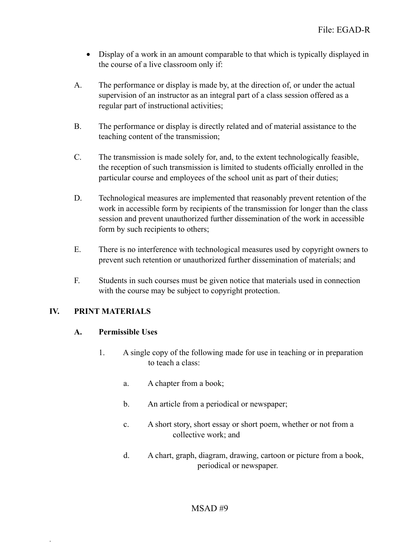- Display of a work in an amount comparable to that which is typically displayed in the course of a live classroom only if:
- A. The performance or display is made by, at the direction of, or under the actual supervision of an instructor as an integral part of a class session offered as a regular part of instructional activities;
- B. The performance or display is directly related and of material assistance to the teaching content of the transmission;
- C. The transmission is made solely for, and, to the extent technologically feasible, the reception of such transmission is limited to students officially enrolled in the particular course and employees of the school unit as part of their duties;
- D. Technological measures are implemented that reasonably prevent retention of the work in accessible form by recipients of the transmission for longer than the class session and prevent unauthorized further dissemination of the work in accessible form by such recipients to others;
- E. There is no interference with technological measures used by copyright owners to prevent such retention or unauthorized further dissemination of materials; and
- F. Students in such courses must be given notice that materials used in connection with the course may be subject to copyright protection.

#### **IV. PRINT MATERIALS**

.

#### **A. Permissible Uses**

- 1. A single copy of the following made for use in teaching or in preparation to teach a class:
	- a. A chapter from a book;
	- b. An article from a periodical or newspaper;
	- c. A short story, short essay or short poem, whether or not from a collective work; and
	- d. A chart, graph, diagram, drawing, cartoon or picture from a book, periodical or newspaper.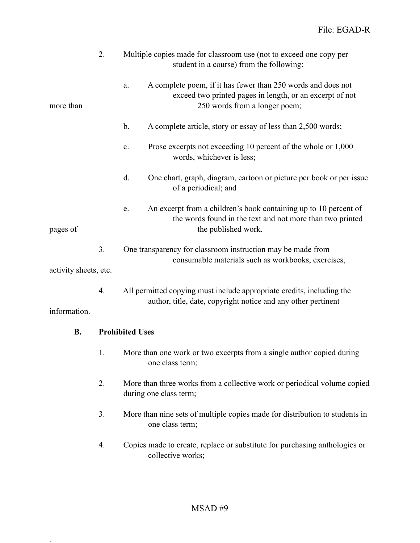|                       | 2.<br>Multiple copies made for classroom use (not to exceed one copy per<br>student in a course) from the following: |                                                                                                                                                                 |  |  |
|-----------------------|----------------------------------------------------------------------------------------------------------------------|-----------------------------------------------------------------------------------------------------------------------------------------------------------------|--|--|
| more than             |                                                                                                                      | A complete poem, if it has fewer than 250 words and does not<br>a.<br>exceed two printed pages in length, or an excerpt of not<br>250 words from a longer poem; |  |  |
|                       |                                                                                                                      | $\mathbf b$ .<br>A complete article, story or essay of less than 2,500 words;                                                                                   |  |  |
|                       |                                                                                                                      | Prose excerpts not exceeding 10 percent of the whole or 1,000<br>$\mathbf{c}$ .<br>words, whichever is less;                                                    |  |  |
|                       |                                                                                                                      | d.<br>One chart, graph, diagram, cartoon or picture per book or per issue<br>of a periodical; and                                                               |  |  |
| pages of              |                                                                                                                      | An excerpt from a children's book containing up to 10 percent of<br>e.<br>the words found in the text and not more than two printed<br>the published work.      |  |  |
|                       | 3.                                                                                                                   | One transparency for classroom instruction may be made from<br>consumable materials such as workbooks, exercises,                                               |  |  |
| activity sheets, etc. |                                                                                                                      |                                                                                                                                                                 |  |  |
|                       | 4.                                                                                                                   | All permitted copying must include appropriate credits, including the<br>author, title, date, copyright notice and any other pertinent                          |  |  |
| information.          |                                                                                                                      |                                                                                                                                                                 |  |  |
| <b>B.</b>             |                                                                                                                      | <b>Prohibited Uses</b>                                                                                                                                          |  |  |
|                       |                                                                                                                      | More than one work or two excerpts from a single author copied during<br>one class term;                                                                        |  |  |
|                       | 2.                                                                                                                   | More than three works from a collective work or periodical volume copied<br>during one class term;                                                              |  |  |
|                       | 3.                                                                                                                   | More than nine sets of multiple copies made for distribution to students in<br>one class term;                                                                  |  |  |
|                       | 4.                                                                                                                   | Copies made to create, replace or substitute for purchasing anthologies or<br>collective works;                                                                 |  |  |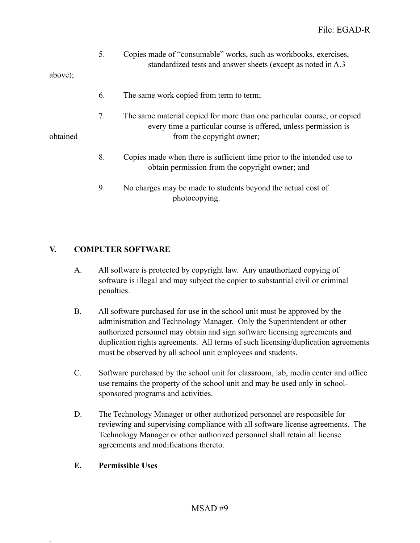|          | 5. | Copies made of "consumable" works, such as workbooks, exercises,<br>standardized tests and answer sheets (except as noted in A.3)                                       |
|----------|----|-------------------------------------------------------------------------------------------------------------------------------------------------------------------------|
| above);  |    |                                                                                                                                                                         |
|          | 6. | The same work copied from term to term;                                                                                                                                 |
| obtained | 7. | The same material copied for more than one particular course, or copied<br>every time a particular course is offered, unless permission is<br>from the copyright owner; |
|          | 8. | Copies made when there is sufficient time prior to the intended use to<br>obtain permission from the copyright owner; and                                               |
|          | 9. | No charges may be made to students beyond the actual cost of<br>photocopying.                                                                                           |

## **V. COMPUTER SOFTWARE**

- A. All software is protected by copyright law. Any unauthorized copying of software is illegal and may subject the copier to substantial civil or criminal penalties.
- B. All software purchased for use in the school unit must be approved by the administration and Technology Manager. Only the Superintendent or other authorized personnel may obtain and sign software licensing agreements and duplication rights agreements. All terms of such licensing/duplication agreements must be observed by all school unit employees and students.
- C. Software purchased by the school unit for classroom, lab, media center and office use remains the property of the school unit and may be used only in schoolsponsored programs and activities.
- D. The Technology Manager or other authorized personnel are responsible for reviewing and supervising compliance with all software license agreements. The Technology Manager or other authorized personnel shall retain all license agreements and modifications thereto.

#### **E. Permissible Uses**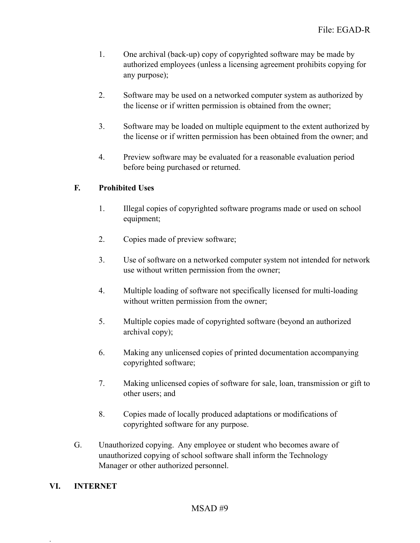- 1. One archival (back-up) copy of copyrighted software may be made by authorized employees (unless a licensing agreement prohibits copying for any purpose);
- 2. Software may be used on a networked computer system as authorized by the license or if written permission is obtained from the owner;
- 3. Software may be loaded on multiple equipment to the extent authorized by the license or if written permission has been obtained from the owner; and
- 4. Preview software may be evaluated for a reasonable evaluation period before being purchased or returned.

## **F. Prohibited Uses**

- 1. Illegal copies of copyrighted software programs made or used on school equipment;
- 2. Copies made of preview software;
- 3. Use of software on a networked computer system not intended for network use without written permission from the owner;
- 4. Multiple loading of software not specifically licensed for multi-loading without written permission from the owner;
- 5. Multiple copies made of copyrighted software (beyond an authorized archival copy);
- 6. Making any unlicensed copies of printed documentation accompanying copyrighted software;
- 7. Making unlicensed copies of software for sale, loan, transmission or gift to other users; and
- 8. Copies made of locally produced adaptations or modifications of copyrighted software for any purpose.
- G. Unauthorized copying. Any employee or student who becomes aware of unauthorized copying of school software shall inform the Technology Manager or other authorized personnel.

#### **VI. INTERNET**

.

#### MSAD #9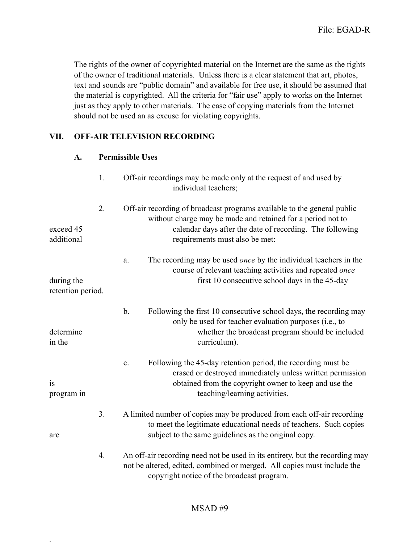The rights of the owner of copyrighted material on the Internet are the same as the rights of the owner of traditional materials. Unless there is a clear statement that art, photos, text and sounds are "public domain" and available for free use, it should be assumed that the material is copyrighted. All the criteria for "fair use" apply to works on the Internet just as they apply to other materials. The ease of copying materials from the Internet should not be used an as excuse for violating copyrights.

#### **VII. OFF-AIR TELEVISION RECORDING**

| A. |  | <b>Permissible Uses</b> |
|----|--|-------------------------|
|    |  |                         |

|                                 | 1. | Off-air recordings may be made only at the request of and used by<br>individual teachers;                                                                                                                                             |
|---------------------------------|----|---------------------------------------------------------------------------------------------------------------------------------------------------------------------------------------------------------------------------------------|
| exceed 45<br>additional         | 2. | Off-air recording of broadcast programs available to the general public<br>without charge may be made and retained for a period not to<br>calendar days after the date of recording. The following<br>requirements must also be met:  |
| during the<br>retention period. |    | The recording may be used <i>once</i> by the individual teachers in the<br>a.<br>course of relevant teaching activities and repeated once<br>first 10 consecutive school days in the 45-day                                           |
| determine<br>in the             |    | $\mathbf b$ .<br>Following the first 10 consecutive school days, the recording may<br>only be used for teacher evaluation purposes (i.e., to<br>whether the broadcast program should be included<br>curriculum).                      |
| is<br>program in                |    | Following the 45-day retention period, the recording must be<br>$\mathbf{c}$ .<br>erased or destroyed immediately unless written permission<br>obtained from the copyright owner to keep and use the<br>teaching/learning activities. |
| are                             | 3. | A limited number of copies may be produced from each off-air recording<br>to meet the legitimate educational needs of teachers. Such copies<br>subject to the same guidelines as the original copy.                                   |
|                                 | 4. | An off-air recording need not be used in its entirety, but the recording may<br>not be altered, edited, combined or merged. All copies must include the<br>copyright notice of the broadcast program.                                 |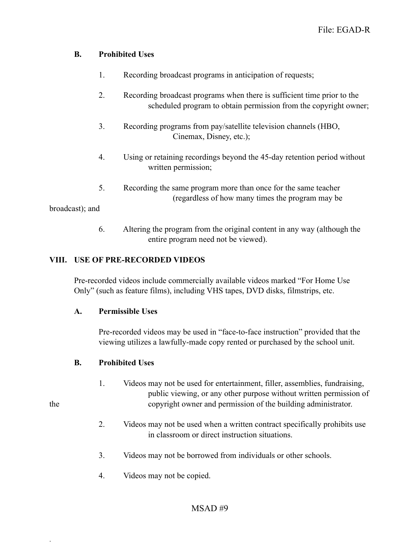## **B. Prohibited Uses**

- 1. Recording broadcast programs in anticipation of requests;
- 2. Recording broadcast programs when there is sufficient time prior to the scheduled program to obtain permission from the copyright owner;
- 3. Recording programs from pay/satellite television channels (HBO, Cinemax, Disney, etc.);
- 4. Using or retaining recordings beyond the 45-day retention period without written permission;
- 5. Recording the same program more than once for the same teacher (regardless of how many times the program may be

broadcast); and

.

 6. Altering the program from the original content in any way (although the entire program need not be viewed).

# **VIII. USE OF PRE-RECORDED VIDEOS**

Pre-recorded videos include commercially available videos marked "For Home Use Only" (such as feature films), including VHS tapes, DVD disks, filmstrips, etc.

#### **A. Permissible Uses**

Pre-recorded videos may be used in "face-to-face instruction" provided that the viewing utilizes a lawfully-made copy rented or purchased by the school unit.

#### **B. Prohibited Uses**

- 1. Videos may not be used for entertainment, filler, assemblies, fundraising, public viewing, or any other purpose without written permission of the copyright owner and permission of the building administrator.
	- 2. Videos may not be used when a written contract specifically prohibits use in classroom or direct instruction situations.
	- 3. Videos may not be borrowed from individuals or other schools.
	- 4. Videos may not be copied.

# MSAD #9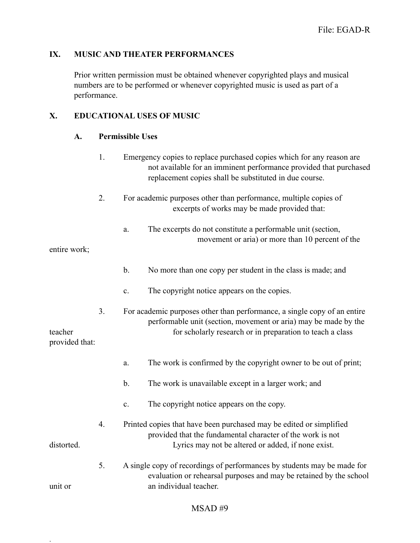#### **IX. MUSIC AND THEATER PERFORMANCES**

Prior written permission must be obtained whenever copyrighted plays and musical numbers are to be performed or whenever copyrighted music is used as part of a performance.

#### **X. EDUCATIONAL USES OF MUSIC**

#### **A. Permissible Uses**

- 1. Emergency copies to replace purchased copies which for any reason are not available for an imminent performance provided that purchased replacement copies shall be substituted in due course.
- 2. For academic purposes other than performance, multiple copies of excerpts of works may be made provided that:
	- a. The excerpts do not constitute a performable unit (section, movement or aria) or more than 10 percent of the

entire work;

- b. No more than one copy per student in the class is made; and
- c. The copyright notice appears on the copies.
- 3. For academic purposes other than performance, a single copy of an entire performable unit (section, movement or aria) may be made by the teacher for scholarly research or in preparation to teach a class

provided that:

.

- a. The work is confirmed by the copyright owner to be out of print;
- b. The work is unavailable except in a larger work; and
- c. The copyright notice appears on the copy.
- 4. Printed copies that have been purchased may be edited or simplified provided that the fundamental character of the work is not distorted. Lyrics may not be altered or added, if none exist.
- 5. A single copy of recordings of performances by students may be made for evaluation or rehearsal purposes and may be retained by the school unit or an individual teacher.

#### MSAD #9